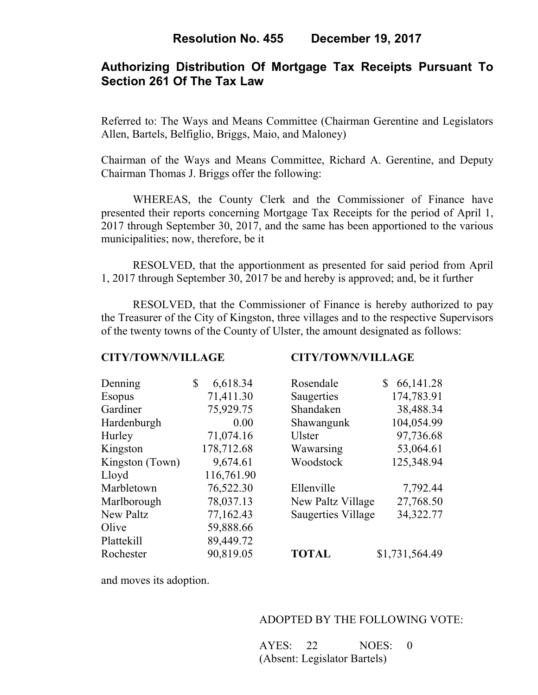# **Authorizing Distribution Of Mortgage Tax Receipts Pursuant To Section 261 Of The Tax Law**

Referred to: The Ways and Means Committee (Chairman Gerentine and Legislators Allen, Bartels, Belfiglio, Briggs, Maio, and Maloney)

Chairman of the Ways and Means Committee, Richard A. Gerentine, and Deputy Chairman Thomas J. Briggs offer the following:

WHEREAS, the County Clerk and the Commissioner of Finance have presented their reports concerning Mortgage Tax Receipts for the period of April 1, 2017 through September 30, 2017, and the same has been apportioned to the various municipalities; now, therefore, be it

 RESOLVED, that the apportionment as presented for said period from April 1, 2017 through September 30, 2017 be and hereby is approved; and, be it further

 RESOLVED, that the Commissioner of Finance is hereby authorized to pay the Treasurer of the City of Kingston, three villages and to the respective Supervisors of the twenty towns of the County of Ulster, the amount designated as follows:

#### **CITY/TOWN/VILLAGE CITY/TOWN/VILLAGE**

| Denning         | \$<br>6,618.34 | Rosendale                 | 66, 141. 28<br>\$ |
|-----------------|----------------|---------------------------|-------------------|
| <b>Esopus</b>   | 71,411.30      | Saugerties                | 174,783.91        |
| Gardiner        | 75,929.75      | Shandaken                 | 38,488.34         |
| Hardenburgh     | 0.00           | Shawangunk                | 104,054.99        |
| Hurley          | 71,074.16      | <b>Ulster</b>             | 97,736.68         |
| Kingston        | 178,712.68     | Wawarsing                 | 53,064.61         |
| Kingston (Town) | 9,674.61       | Woodstock                 | 125,348.94        |
| Lloyd           | 116,761.90     |                           |                   |
| Marbletown      | 76,522.30      | Ellenville                | 7,792.44          |
| Marlborough     | 78,037.13      | New Paltz Village         | 27,768.50         |
| New Paltz       | 77,162.43      | <b>Saugerties Village</b> | 34,322.77         |
| Olive           | 59,888.66      |                           |                   |
| Plattekill      | 89,449.72      |                           |                   |
| Rochester       | 90,819.05      | <b>TOTAL</b>              | \$1,731,564.49    |

and moves its adoption.

## ADOPTED BY THE FOLLOWING VOTE:

AYES: 22 NOES: 0 (Absent: Legislator Bartels)